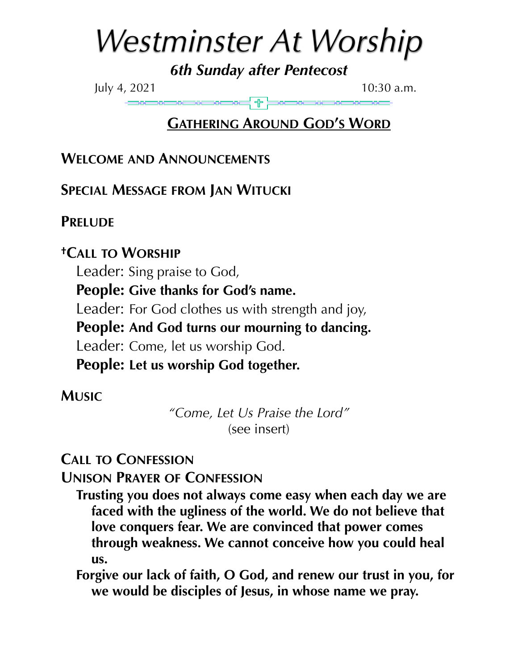# *Westminster At Worship*

*6th Sunday after Pentecost*

July 4, 202110:30 a.m.

# **GATHERING AROUND GOD'S WORD**

**WELCOME AND ANNOUNCEMENTS**

**SPECIAL MESSAGE FROM JAN WITUCKI**

# **PRELUDE**

# **†CALL TO WORSHIP**

Leader: Sing praise to God,

**People: Give thanks for God's name.**

Leader: For God clothes us with strength and joy,

**People: And God turns our mourning to dancing.**

Leader: Come, let us worship God.

**People: Let us worship God together.**

# **MUSIC**

*"Come, Let Us Praise the Lord"* (see insert)

# **CALL TO CONFESSION**

**UNISON PRAYER OF CONFESSION**

**Trusting you does not always come easy when each day we are faced with the ugliness of the world. We do not believe that love conquers fear. We are convinced that power comes through weakness. We cannot conceive how you could heal us.**

**Forgive our lack of faith, O God, and renew our trust in you, for we would be disciples of Jesus, in whose name we pray.**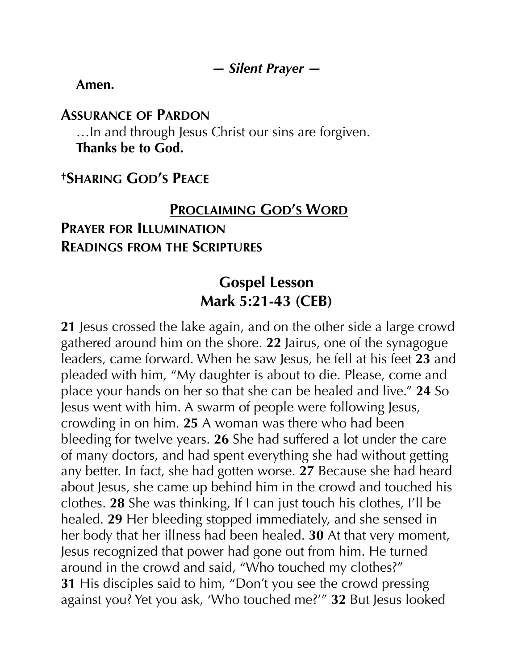#### *— Silent Prayer —*

**Amen.**

#### **ASSURANCE OF PARDON**

…In and through Jesus Christ our sins are forgiven. **Thanks be to God.**

## **†SHARING GOD'S PEACE**

#### **PROCLAIMING GOD'S WORD**

# **PRAYER FOR ILLUMINATION READINGS FROM THE SCRIPTURES**

# **Gospel Lesson Mark 5:21-43 (CEB)**

**21** Jesus crossed the lake again, and on the other side a large crowd gathered around him on the shore. **22** Jairus, one of the synagogue leaders, came forward. When he saw Jesus, he fell at his feet **23** and pleaded with him, "My daughter is about to die. Please, come and place your hands on her so that she can be healed and live." **24** So Jesus went with him. A swarm of people were following Jesus, crowding in on him. **25** A woman was there who had been bleeding for twelve years. **26** She had suffered a lot under the care of many doctors, and had spent everything she had without getting any better. In fact, she had gotten worse. **27** Because she had heard about Jesus, she came up behind him in the crowd and touched his clothes. **28** She was thinking, If I can just touch his clothes, I'll be healed. **29** Her bleeding stopped immediately, and she sensed in her body that her illness had been healed. **30** At that very moment, Jesus recognized that power had gone out from him. He turned around in the crowd and said, "Who touched my clothes?" **31** His disciples said to him, "Don't you see the crowd pressing against you? Yet you ask, 'Who touched me?'" **32** But Jesus looked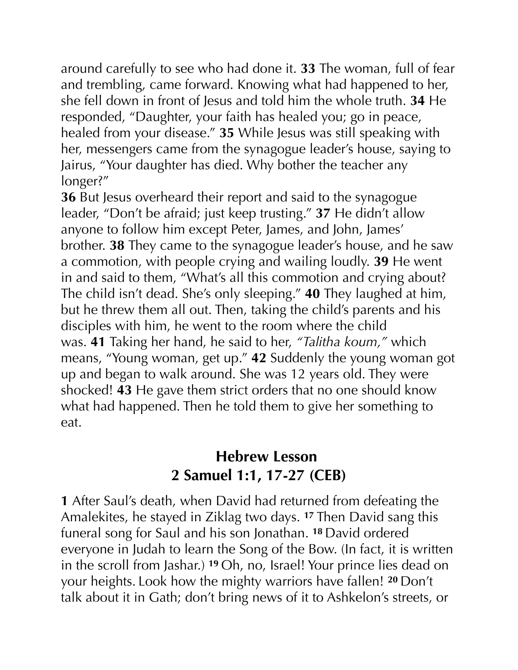around carefully to see who had done it. **33** The woman, full of fear and trembling, came forward. Knowing what had happened to her, she fell down in front of Jesus and told him the whole truth. **34** He responded, "Daughter, your faith has healed you; go in peace, healed from your disease." **35** While Jesus was still speaking with her, messengers came from the synagogue leader's house, saying to Jairus, "Your daughter has died. Why bother the teacher any longer?"

**36** But Jesus overheard their report and said to the synagogue leader, "Don't be afraid; just keep trusting." **37** He didn't allow anyone to follow him except Peter, James, and John, James' brother. **38** They came to the synagogue leader's house, and he saw a commotion, with people crying and wailing loudly. **39** He went in and said to them, "What's all this commotion and crying about? The child isn't dead. She's only sleeping." **40** They laughed at him, but he threw them all out. Then, taking the child's parents and his disciples with him, he went to the room where the child was. **41** Taking her hand, he said to her, *"Talitha koum,"* which means, "Young woman, get up." **42** Suddenly the young woman got up and began to walk around. She was 12 years old. They were shocked! **43** He gave them strict orders that no one should know what had happened. Then he told them to give her something to eat.

# **Hebrew Lesson 2 Samuel 1:1, 17-27 (CEB)**

**1** After Saul's death, when David had returned from defeating the Amalekites, he stayed in Ziklag two days. **<sup>17</sup>** Then David sang this funeral song for Saul and his son Jonathan. **<sup>18</sup>** David ordered everyone in Judah to learn the Song of the Bow. (In fact, it is written in the scroll from Jashar.) **<sup>19</sup>** Oh, no, Israel! Your prince lies dead on your heights. Look how the mighty warriors have fallen! **<sup>20</sup>** Don't talk about it in Gath; don't bring news of it to Ashkelon's streets, or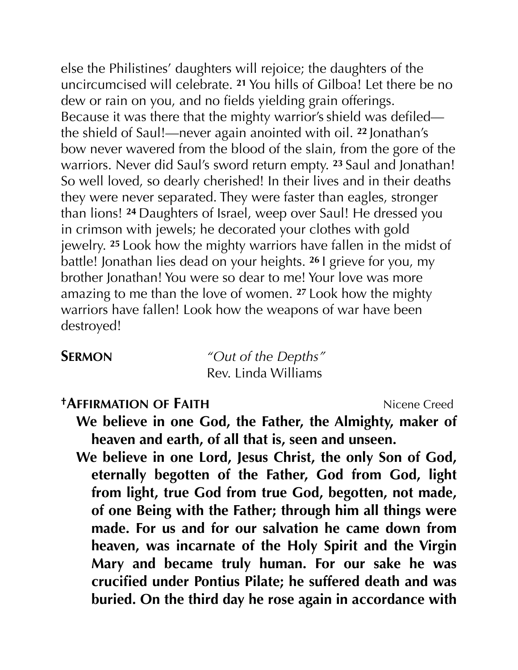else the Philistines' daughters will rejoice; the daughters of the uncircumcised will celebrate. **<sup>21</sup>** You hills of Gilboa! Let there be no dew or rain on you, and no fields yielding grain offerings. Because it was there that the mighty warrior's shield was defiled the shield of Saul!—never again anointed with oil. **<sup>22</sup>** Jonathan's bow never wavered from the blood of the slain, from the gore of the warriors. Never did Saul's sword return empty. **<sup>23</sup>** Saul and Jonathan! So well loved, so dearly cherished! In their lives and in their deaths they were never separated. They were faster than eagles, stronger than lions! **<sup>24</sup>** Daughters of Israel, weep over Saul! He dressed you in crimson with jewels; he decorated your clothes with gold jewelry. **<sup>25</sup>** Look how the mighty warriors have fallen in the midst of battle! Jonathan lies dead on your heights. **<sup>26</sup>** I grieve for you, my brother Jonathan! You were so dear to me! Your love was more amazing to me than the love of women. **<sup>27</sup>** Look how the mighty warriors have fallen! Look how the weapons of war have been destroyed!

**SERMON** *"Out of the Depths"* Rev. Linda Williams

#### *†AFFIRMATION OF FAITH* Nicene Creed

- **We believe in one God, the Father, the Almighty, maker of heaven and earth, of all that is, seen and unseen.**
- **We believe in one Lord, Jesus Christ, the only Son of God, eternally begotten of the Father, God from God, light from light, true God from true God, begotten, not made, of one Being with the Father; through him all things were made. For us and for our salvation he came down from heaven, was incarnate of the Holy Spirit and the Virgin Mary and became truly human. For our sake he was crucified under Pontius Pilate; he suffered death and was buried. On the third day he rose again in accordance with**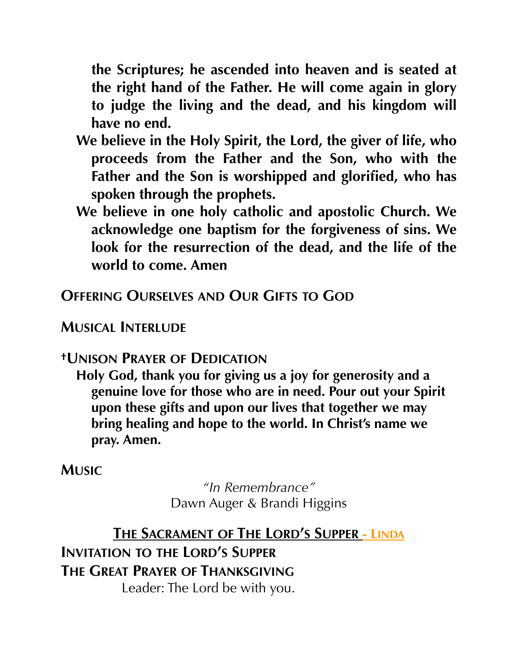**the Scriptures; he ascended into heaven and is seated at the right hand of the Father. He will come again in glory to judge the living and the dead, and his kingdom will have no end.**

- **We believe in the Holy Spirit, the Lord, the giver of life, who proceeds from the Father and the Son, who with the Father and the Son is worshipped and glorified, who has spoken through the prophets.**
- **We believe in one holy catholic and apostolic Church. We acknowledge one baptism for the forgiveness of sins. We look for the resurrection of the dead, and the life of the world to come. Amen**

# **OFFERING OURSELVES AND OUR GIFTS TO GOD**

### **MUSICAL INTERLUDE**

#### **†UNISON PRAYER OF DEDICATION**

**Holy God, thank you for giving us a joy for generosity and a genuine love for those who are in need. Pour out your Spirit upon these gifts and upon our lives that together we may bring healing and hope to the world. In Christ's name we pray. Amen.**

**MUSIC**

*"In Remembrance"* Dawn Auger & Brandi Higgins

**THE SACRAMENT OF THE LORD'S SUPPER - LINDA INVITATION TO THE LORD'S SUPPER THE GREAT PRAYER OF THANKSGIVING** Leader: The Lord be with you.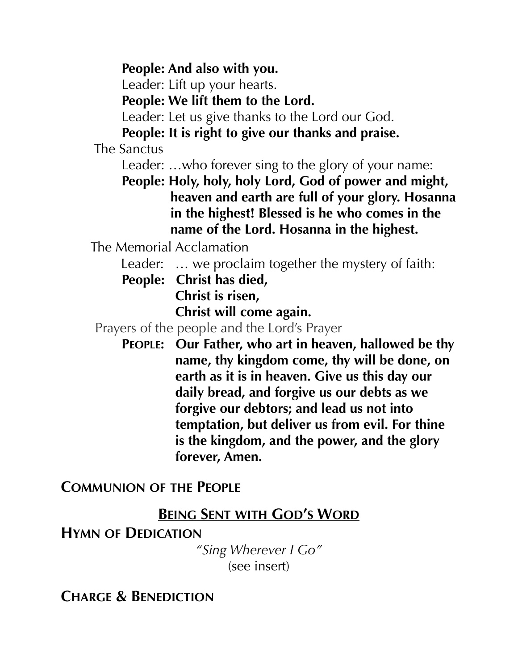**People: And also with you.** 

Leader: Lift up your hearts.

**People: We lift them to the Lord.**

Leader: Let us give thanks to the Lord our God.

**People: It is right to give our thanks and praise.**

The Sanctus

Leader: …who forever sing to the glory of your name:

**People: Holy, holy, holy Lord, God of power and might, heaven and earth are full of your glory. Hosanna in the highest! Blessed is he who comes in the name of the Lord. Hosanna in the highest.**

The Memorial Acclamation

Leader: … we proclaim together the mystery of faith:

**People: Christ has died,** 

**Christ is risen,** 

**Christ will come again.**

Prayers of the people and the Lord's Prayer

**PEOPLE: Our Father, who art in heaven, hallowed be thy name, thy kingdom come, thy will be done, on earth as it is in heaven. Give us this day our daily bread, and forgive us our debts as we forgive our debtors; and lead us not into temptation, but deliver us from evil. For thine is the kingdom, and the power, and the glory forever, Amen.**

#### **COMMUNION OF THE PEOPLE**

#### **BEING SENT WITH GOD'S WORD**

#### **HYMN OF DEDICATION**

*"Sing Wherever I Go"* (see insert)

**CHARGE & BENEDICTION**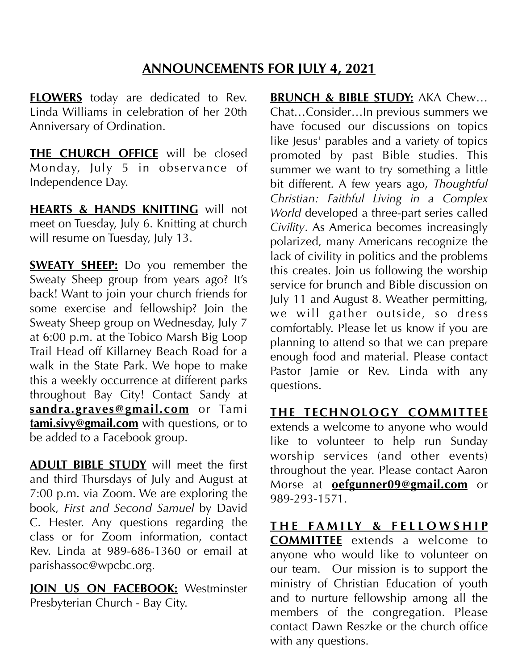#### **ANNOUNCEMENTS FOR JULY 4, 2021**

**FLOWERS** today are dedicated to Rev. Linda Williams in celebration of her 20th Anniversary of Ordination.

**THE CHURCH OFFICE** will be closed Monday, July 5 in observance of Independence Day.

**HEARTS & HANDS KNITTING** will not meet on Tuesday, July 6. Knitting at church will resume on Tuesday, July 13.

**SWEATY SHEEP:** Do you remember the Sweaty Sheep group from years ago? It's back! Want to join your church friends for some exercise and fellowship? Join the Sweaty Sheep group on Wednesday, July 7 at 6:00 p.m. at the Tobico Marsh Big Loop Trail Head off Killarney Beach Road for a walk in the State Park. We hope to make this a weekly occurrence at different parks throughout Bay City! Contact Sandy at **[sandra.graves@gmail.com](mailto:sandra.graves@gmail.com)** or Tami **[tami.sivy@gmail.com](mailto:tami.sivy@gmail.com)** with questions, or to be added to a Facebook group.

**ADULT BIBLE STUDY** will meet the first and third Thursdays of July and August at 7:00 p.m. via Zoom. We are exploring the book, *First and Second Samuel* by David C. Hester. Any questions regarding the class or for Zoom information, contact Rev. Linda at 989-686-1360 or email at parishassoc@wpcbc.org.

**JOIN US ON FACEBOOK:** Westminster Presbyterian Church - Bay City.

**BRUNCH & BIBLE STUDY:** AKA Chew… Chat…Consider…In previous summers we have focused our discussions on topics like Jesus' parables and a variety of topics promoted by past Bible studies. This summer we want to try something a little bit different. A few years ago, *Thoughtful Christian: Faithful Living in a Complex World* developed a three-part series called *Civility*. As America becomes increasingly polarized, many Americans recognize the lack of civility in politics and the problems this creates. Join us following the worship service for brunch and Bible discussion on July 11 and August 8. Weather permitting, we will gather outside, so dress comfortably. Please let us know if you are planning to attend so that we can prepare enough food and material. Please contact Pastor Jamie or Rev. Linda with any questions.

**THE TECHNOLOGY COMMITTEE** extends a welcome to anyone who would like to volunteer to help run Sunday worship services (and other events) throughout the year. Please contact Aaron Morse at **[oefgunner09@gmail.com](mailto:oefgunner09@gmail.com)** or 989-293-1571.

**T H E F A M I LY & F E L L O W S H I P COMMITTEE** extends a welcome to anyone who would like to volunteer on our team. Our mission is to support the ministry of Christian Education of youth and to nurture fellowship among all the members of the congregation. Please contact Dawn Reszke or the church office with any questions.